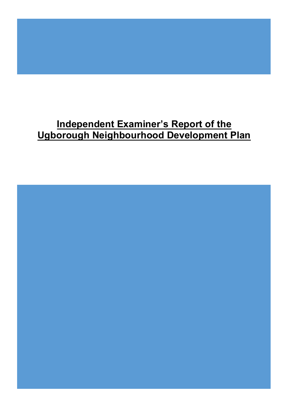# **Independent Examiner's Report of the Ugborough Neighbourhood Development Plan**

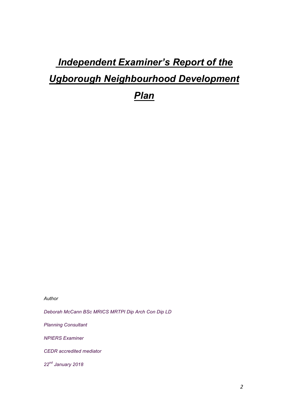# *Independent Examiner's Report of the Ugborough Neighbourhood Development*

*Plan*

*Author* 

*Deborah McCann BSc MRICS MRTPI Dip Arch Con Dip LD*

*Planning Consultant*

*NPIERS Examiner*

*CEDR accredited mediator*

*22nd January 2018*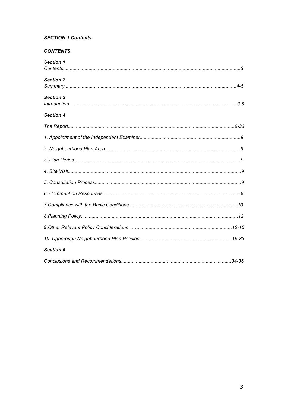# **SECTION 1 Contents**

# **CONTENTS**

| <b>Section 1</b> |  |
|------------------|--|
|                  |  |
| <b>Section 2</b> |  |
|                  |  |
| <b>Section 3</b> |  |
|                  |  |
| <b>Section 4</b> |  |
|                  |  |
|                  |  |
|                  |  |
|                  |  |
|                  |  |
|                  |  |
|                  |  |
|                  |  |
|                  |  |
|                  |  |
|                  |  |
| <b>Section 5</b> |  |
|                  |  |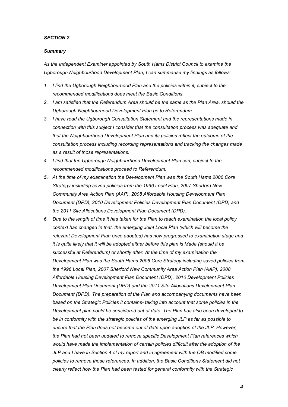#### *SECTION 2*

#### *Summary*

*As the Independent Examiner appointed by South Hams District Council to examine the Ugborough Neighbourhood Development Plan, I can summarise my findings as follows:*

- *1. I find the Ugborough Neighbourhood Plan and the policies within it, subject to the recommended modifications does meet the Basic Conditions.*
- *2. I am satisfied that the Referendum Area should be the same as the Plan Area, should the Ugborough Neighbourhood Development Plan go to Referendum.*
- *3. I have read the Ugborough Consultation Statement and the representations made in connection with this subject I consider that the consultation process was adequate and that the Neighbourhood Development Plan and its policies reflect the outcome of the consultation process including recording representations and tracking the changes made as a result of those representations.*
- *4. I find that the Ugborough Neighbourhood Development Plan can, subject to the recommended modifications proceed to Referendum.*
- *5. At the time of my examination the Development Plan was the South Hams 2006 Core Strategy including saved policies from the 1996 Local Plan, 2007 Sherford New Community Area Action Plan (AAP), 2008 Affordable Housing Development Plan Document (DPD), 2010 Development Policies Development Plan Document (DPD) and the 2011 Site Allocations Development Plan Document (DPD).*
- *6. Due to the length of time it has taken for the Plan to reach examination the local policy context has changed in that, the emerging Joint Local Plan (which will become the relevant Development Plan once adopted) has now progressed to examination stage and it is quite likely that it will be adopted either before this plan is Made (should it be successful at Referendum) or shortly after. At the time of my examination the Development Plan was the South Hams 2006 Core Strategy including saved policies from the 1996 Local Plan, 2007 Sherford New Community Area Action Plan (AAP), 2008 Affordable Housing Development Plan Document (DPD), 2010 Development Policies Development Plan Document (DPD) and the 2011 Site Allocations Development Plan Document (DPD). The preparation of the Plan and accompanying documents have been based on the Strategic Policies it contains- taking into account that some policies in the Development plan could be considered out of date. The Plan has also been developed to be in conformity with the strategic policies of the emerging JLP as far as possible to ensure that the Plan does not become out of date upon adoption of the JLP. However, the Plan had not been updated to remove specific Development Plan references which would have made the implementation of certain policies difficult after the adoption of the JLP and I have in Section 4 of my report and in agreement with the QB modified some policies to remove those references. In addition, the Basic Conditions Statement did not clearly reflect how the Plan had been tested for general conformity with the Strategic*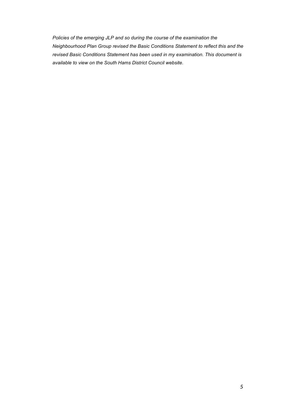*Policies of the emerging JLP and so during the course of the examination the Neighbourhood Plan Group revised the Basic Conditions Statement to reflect this and the revised Basic Conditions Statement has been used in my examination. This document is available to view on the South Hams District Council website.*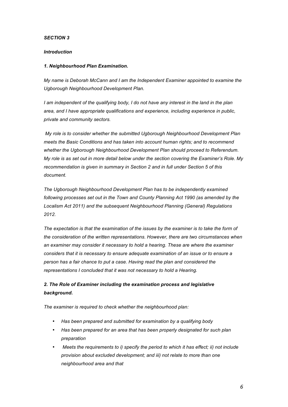# *SECTION 3*

#### *Introduction*

# *1. Neighbourhood Plan Examination.*

*My name is Deborah McCann and I am the Independent Examiner appointed to examine the Ugborough Neighbourhood Development Plan.*

*I am independent of the qualifying body, I do not have any interest in the land in the plan area, and I have appropriate qualifications and experience, including experience in public, private and community sectors.*

*My role is to consider whether the submitted Ugborough Neighbourhood Development Plan meets the Basic Conditions and has taken into account human rights; and to recommend whether the Ugborough Neighbourhood Development Plan should proceed to Referendum. My role is as set out in more detail below under the section covering the Examiner's Role. My recommendation is given in summary in Section 2 and in full under Section 5 of this document.*

*The Ugborough Neighbourhood Development Plan has to be independently examined following processes set out in the Town and County Planning Act 1990 (as amended by the Localism Act 2011) and the subsequent Neighbourhood Planning (General) Regulations 2012.*

The expectation is that the examination of the issues by the examiner is to take the form of *the consideration of the written representations. However, there are two circumstances when an examiner may consider it necessary to hold a hearing. These are where the examiner considers that it is necessary to ensure adequate examination of an issue or to ensure a person has a fair chance to put a case. Having read the plan and considered the representations I concluded that it was not necessary to hold a Hearing.* 

# *2. The Role of Examiner including the examination process and legislative background.*

*The examiner is required to check whether the neighbourhood plan:* 

- *Has been prepared and submitted for examination by a qualifying body*
- *Has been prepared for an area that has been properly designated for such plan preparation*
- *Meets the requirements to i) specify the period to which it has effect; ii) not include provision about excluded development; and iii) not relate to more than one neighbourhood area and that*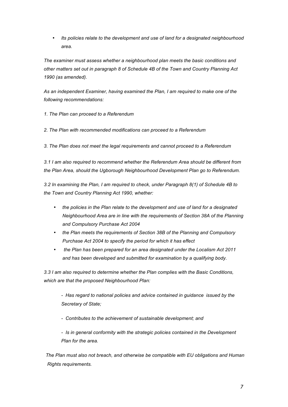• *Its policies relate to the development and use of land for a designated neighbourhood area.* 

*The examiner must assess whether a neighbourhood plan meets the basic conditions and other matters set out in paragraph 8 of Schedule 4B of the Town and Country Planning Act 1990 (as amended).* 

*As an independent Examiner, having examined the Plan, I am required to make one of the following recommendations:*

*1. The Plan can proceed to a Referendum* 

*2. The Plan with recommended modifications can proceed to a Referendum* 

*3. The Plan does not meet the legal requirements and cannot proceed to a Referendum* 

*3.1 I am also required to recommend whether the Referendum Area should be different from the Plan Area, should the Ugborough Neighbourhood Development Plan go to Referendum.*

*3.2 In examining the Plan, I am required to check, under Paragraph 8(1) of Schedule 4B to the Town and Country Planning Act 1990, whether:* 

- *the policies in the Plan relate to the development and use of land for a designated Neighbourhood Area are in line with the requirements of Section 38A of the Planning and Compulsory Purchase Act 2004*
- *the Plan meets the requirements of Section 38B of the Planning and Compulsory Purchase Act 2004 to specify the period for which it has effect*
- *the Plan has been prepared for an area designated under the Localism Act 2011 and has been developed and submitted for examination by a qualifying body.*

*3.3 I am also required to determine whether the Plan complies with the Basic Conditions, which are that the proposed Neighbourhood Plan:*

*- Has regard to national policies and advice contained in guidance issued by the Secretary of State;* 

*- Contributes to the achievement of sustainable development; and* 

*- Is in general conformity with the strategic policies contained in the Development Plan for the area.* 

 *The Plan must also not breach, and otherwise be compatible with EU obligations and Human Rights requirements.*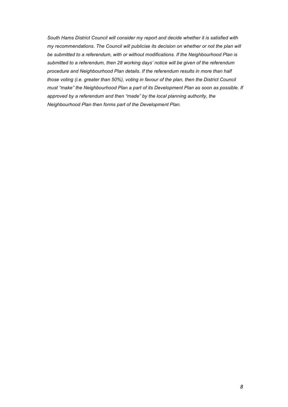*South Hams District Council will consider my report and decide whether it is satisfied with my recommendations. The Council will publicise its decision on whether or not the plan will be submitted to a referendum, with or without modifications. If the Neighbourhood Plan is submitted to a referendum, then 28 working days' notice will be given of the referendum procedure and Neighbourhood Plan details. If the referendum results in more than half those voting (i.e. greater than 50%), voting in favour of the plan, then the District Council must "make" the Neighbourhood Plan a part of its Development Plan as soon as possible. If approved by a referendum and then "made" by the local planning authority, the Neighbourhood Plan then forms part of the Development Plan.*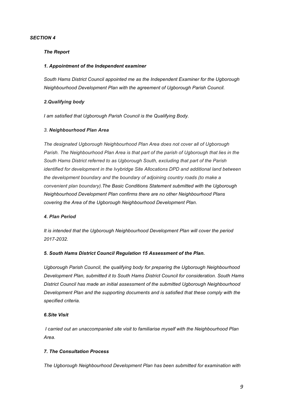# *SECTION 4*

#### *The Report*

#### *1. Appointment of the Independent examiner*

*South Hams District Council appointed me as the Independent Examiner for the Ugborough Neighbourhood Development Plan with the agreement of Ugborough Parish Council.*

#### *2.Qualifying body*

*I am satisfied that Ugborough Parish Council is the Qualifying Body.*

#### *3. Neighbourhood Plan Area*

*The designated Ugborough Neighbourhood Plan Area does not cover all of Ugborough Parish. The Neighbourhood Plan Area is that part of the parish of Ugborough that lies in the South Hams District referred to as Ugborough South, excluding that part of the Parish identified for development in the Ivybridge Site Allocations DPD and additional land between the development boundary and the boundary of adjoining country roads (to make a convenient plan boundary).The Basic Conditions Statement submitted with the Ugborough Neighbourhood Development Plan confirms there are no other Neighbourhood Plans covering the Area of the Ugborough Neighbourhood Development Plan.*

#### *4. Plan Period*

*It is intended that the Ugborough Neighbourhood Development Plan will cover the period 2017-2032.*

# *5. South Hams District Council Regulation 15 Assessment of the Plan.*

*Ugborough Parish Council, the qualifying body for preparing the Ugborough Neighbourhood Development Plan, submitted it to South Hams District Council for consideration. South Hams District Council has made an initial assessment of the submitted Ugborough Neighbourhood Development Plan and the supporting documents and is satisfied that these comply with the specified criteria.*

#### *6.Site Visit*

*I carried out an unaccompanied site visit to familiarise myself with the Neighbourhood Plan Area.*

# *7. The Consultation Process*

*The Ugborough Neighbourhood Development Plan has been submitted for examination with*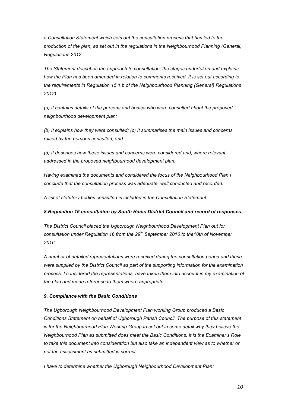*a Consultation Statement which sets out the consultation process that has led to the production of the plan, as set out in the regulations in the Neighbourhood Planning (General) Regulations 2012.*

*The Statement describes the approach to consultation, the stages undertaken and explains how the Plan has been amended in relation to comments received. It is set out according to the requirements in Regulation 15.1.b of the Neighbourhood Planning (General) Regulations 2012):*

*(a) It contains details of the persons and bodies who were consulted about the proposed neighbourhood development plan;*

*(b) It explains how they were consulted; (c) It summarises the main issues and concerns raised by the persons consulted; and*

*(d) It describes how these issues and concerns were considered and, where relevant, addressed in the proposed neighbourhood development plan.*

*Having examined the documents and considered the focus of the Neighbourhood Plan I conclude that the consultation process was adequate, well conducted and recorded.*

*A list of statutory bodies consulted is included in the Consultation Statement.*

#### *8.Regulation 16 consultation by South Hams District Council and record of responses.*

*The District Council placed the Ugborough Neighbourhood Development Plan out for consultation under Regulation 16 from the 29th September 2016 to the10th of November 2016.*

*A number of detailed representations were received during the consultation period and these were supplied by the District Council as part of the supporting information for the examination process. I considered the representations, have taken them into account in my examination of the plan and made reference to them where appropriate.*

#### *9. Compliance with the Basic Conditions*

*The Ugborough Neighbourhood Development Plan working Group produced a Basic Conditions Statement on behalf of Ugborough Parish Council. The purpose of this statement is for the Neighbourhood Plan Working Group to set out in some detail why they believe the Neighbourhood Plan as submitted does meet the Basic Conditions. It is the Examiner's Role to take this document into consideration but also take an independent view as to whether or not the assessment as submitted is correct.*

*I have to determine whether the Ugborough Neighbourhood Development Plan:*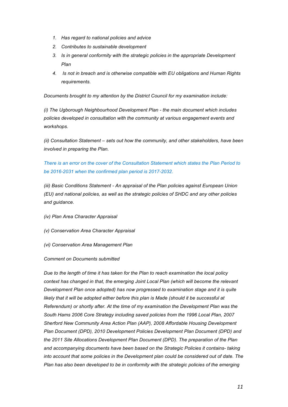- *1. Has regard to national policies and advice*
- *2. Contributes to sustainable development*
- *3. Is in general conformity with the strategic policies in the appropriate Development Plan*
- *4. Is not in breach and is otherwise compatible with EU obligations and Human Rights requirements.*

*Documents brought to my attention by the District Council for my examination include:*

*(i) The Ugborough Neighbourhood Development Plan - the main document which includes policies developed in consultation with the community at various engagement events and workshops.*

*(ii) Consultation Statement – sets out how the community, and other stakeholders, have been involved in preparing the Plan.*

*There is an error on the cover of the Consultation Statement which states the Plan Period to be 2016-2031 when the confirmed plan period is 2017-2032.*

*(iii) Basic Conditions Statement - An appraisal of the Plan policies against European Union (EU) and national policies, as well as the strategic policies of SHDC and any other policies and guidance.*

- *(iv) Plan Area Character Appraisal*
- *(v) Conservation Area Character Appraisal*
- *(vi) Conservation Area Management Plan*

#### *Comment on Documents submitted*

*Due to the length of time it has taken for the Plan to reach examination the local policy*  context has changed in that, the emerging Joint Local Plan (which will become the relevant *Development Plan once adopted) has now progressed to examination stage and it is quite*  likely that it will be adopted either before this plan is Made (should it be successful at *Referendum) or shortly after. At the time of my examination the Development Plan was the South Hams 2006 Core Strategy including saved policies from the 1996 Local Plan, 2007 Sherford New Community Area Action Plan (AAP), 2008 Affordable Housing Development Plan Document (DPD), 2010 Development Policies Development Plan Document (DPD) and the 2011 Site Allocations Development Plan Document (DPD). The preparation of the Plan and accompanying documents have been based on the Strategic Policies it contains- taking into account that some policies in the Development plan could be considered out of date. The Plan has also been developed to be in conformity with the strategic policies of the emerging*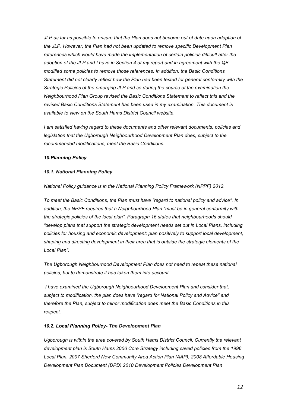*JLP as far as possible to ensure that the Plan does not become out of date upon adoption of the JLP. However, the Plan had not been updated to remove specific Development Plan references which would have made the implementation of certain policies difficult after the adoption of the JLP and I have in Section 4 of my report and in agreement with the QB modified some policies to remove those references. In addition, the Basic Conditions Statement did not clearly reflect how the Plan had been tested for general conformity with the Strategic Policies of the emerging JLP and so during the course of the examination the Neighbourhood Plan Group revised the Basic Conditions Statement to reflect this and the revised Basic Conditions Statement has been used in my examination. This document is available to view on the South Hams District Council website.* 

*I am satisfied having regard to these documents and other relevant documents, policies and legislation that the Ugborough Neighbourhood Development Plan does, subject to the recommended modifications, meet the Basic Conditions.*

#### *10.Planning Policy*

#### *10.1. National Planning Policy*

*National Policy guidance is in the National Planning Policy Framework (NPPF) 2012.*

*To meet the Basic Conditions, the Plan must have "regard to national policy and advice". In addition, the NPPF requires that a Neighbourhood Plan "must be in general conformity with the strategic policies of the local plan". Paragraph 16 states that neighbourhoods should "develop plans that support the strategic development needs set out in Local Plans, including policies for housing and economic development; plan positively to support local development, shaping and directing development in their area that is outside the strategic elements of the Local Plan".*

*The Ugborough Neighbourhood Development Plan does not need to repeat these national policies, but to demonstrate it has taken them into account.*

*I have examined the Ugborough Neighbourhood Development Plan and consider that, subject to modification, the plan does have "regard for National Policy and Advice" and therefore the Plan, subject to minor modification does meet the Basic Conditions in this respect.*

#### *10.2. Local Planning Policy- The Development Plan*

*Ugborough is within the area covered by South Hams District Council. Currently the relevant development plan is South Hams 2006 Core Strategy including saved policies from the 1996 Local Plan, 2007 Sherford New Community Area Action Plan (AAP), 2008 Affordable Housing Development Plan Document (DPD) 2010 Development Policies Development Plan*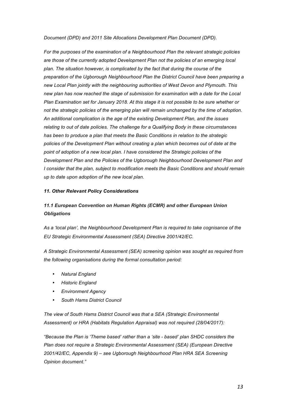*Document (DPD) and 2011 Site Allocations Development Plan Document (DPD).* 

*For the purposes of the examination of a Neighbourhood Plan the relevant strategic policies are those of the currently adopted Development Plan not the policies of an emerging local plan. The situation however, is complicated by the fact that during the course of the preparation of the Ugborough Neighbourhood Plan the District Council have been preparing a new Local Plan jointly with the neighbouring authorities of West Devon and Plymouth. This new plan has now reached the stage of submission for examination with a date for the Local Plan Examination set for January 2018. At this stage it is not possible to be sure whether or not the strategic policies of the emerging plan will remain unchanged by the time of adoption. An additional complication is the age of the existing Development Plan, and the issues relating to out of date policies. The challenge for a Qualifying Body in these circumstances has been to produce a plan that meets the Basic Conditions in relation to the strategic policies of the Development Plan without creating a plan which becomes out of date at the point of adoption of a new local plan. I have considered the Strategic policies of the Development Plan and the Policies of the Ugborough Neighbourhood Development Plan and I consider that the plan, subject to modification meets the Basic Conditions and should remain up to date upon adoption of the new local plan.*

#### *11. Other Relevant Policy Considerations*

# *11.1 European Convention on Human Rights (ECMR) and other European Union Obligations*

*As a 'local plan', the Neighbourhood Development Plan is required to take cognisance of the EU Strategic Environmental Assessment (SEA) Directive 2001/42/EC.* 

*A Strategic Environmental Assessment (SEA) screening opinion was sought as required from the following organisations during the formal consultation period:*

- *Natural England*
- *Historic England*
- *Environment Agency*
- *South Hams District Council*

*The view of South Hams District Council was that a SEA (Strategic Environmental Assessment) or HRA (Habitats Regulation Appraisal) was not required (28/04/2017):*

*"Because the Plan is 'Theme based' rather than a 'site - based' plan SHDC considers the Plan does not require a Strategic Environmental Assessment (SEA) (European Directive 2001/42/EC, Appendix 9) – see Ugborough Neighbourhood Plan HRA SEA Screening Opinion document."*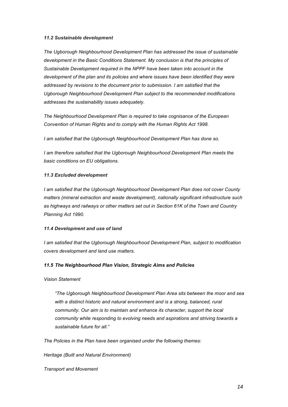#### *11.2 Sustainable development*

*The Ugborough Neighbourhood Development Plan has addressed the issue of sustainable development in the Basic Conditions Statement. My conclusion is that the principles of Sustainable Development required in the NPPF have been taken into account in the development of the plan and its policies and where issues have been identified they were addressed by revisions to the document prior to submission. I am satisfied that the Ugborough Neighbourhood Development Plan subject to the recommended modifications addresses the sustainability issues adequately.*

*The Neighbourhood Development Plan is required to take cognisance of the European Convention of Human Rights and to comply with the Human Rights Act 1998.* 

*I am satisfied that the Ugborough Neighbourhood Development Plan has done so.*

*I am therefore satisfied that the Ugborough Neighbourhood Development Plan meets the basic conditions on EU obligations.* 

#### *11.3 Excluded development*

*I am satisfied that the Ugborough Neighbourhood Development Plan does not cover County matters (mineral extraction and waste development), nationally significant infrastructure such as highways and railways or other matters set out in Section 61K of the Town and Country Planning Act 1990.*

#### *11.4 Development and use of land*

*I am satisfied that the Ugborough Neighbourhood Development Plan, subject to modification covers development and land use matters.*

#### *11.5 The Neighbourhood Plan Vision, Strategic Aims and Policies*

*Vision Statement*

*"The Ugborough Neighbourhood Development Plan Area sits between the moor and sea*  with a distinct historic and natural environment and is a strong, balanced, rural *community. Our aim is to maintain and enhance its character, support the local community while responding to evolving needs and aspirations and striving towards a sustainable future for all."*

*The Policies in the Plan have been organised under the following themes:*

*Heritage (Built and Natural Environment)*

*Transport and Movement*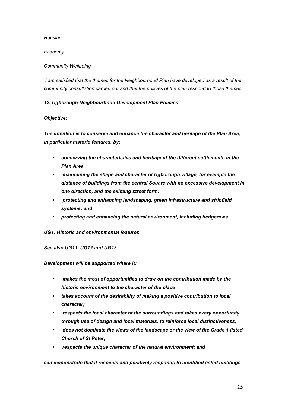*Housing*

*Economy*

# *Community Wellbeing*

*I am satisfied that the themes for the Neighbourhood Plan have developed as a result of the community consultation carried out and that the policies of the plan respond to those themes.*

# *12. Ugborough Neighbourhood Development Plan Policies*

# *Objective:*

*The intention is to conserve and enhance the character and heritage of the Plan Area, in particular historic features, by:*

- *conserving the characteristics and heritage of the different settlements in the Plan Area.*
- *maintaining the shape and character of Ugborough village, for example the distance of buildings from the central Square with no excessive development in one direction, and the existing street form;*
- *protecting and enhancing landscaping, green infrastructure and stripfield systems; and*
- *protecting and enhancing the natural environment, including hedgerows.*

#### *UG1: Historic and environmental features*

*See also UG11, UG12 and UG13*

*Development will be supported where it:*

- *makes the most of opportunities to draw on the contribution made by the historic environment to the character of the place*
- *takes account of the desirability of making a positive contribution to local character;*
- *respects the local character of the surroundings and takes every opportunity, through use of design and local materials, to reinforce local distinctiveness;*
- *does not dominate the views of the landscape or the view of the Grade 1 listed Church of St Peter;*
- *respects the unique character of the natural environment; and*

*can demonstrate that it respects and positively responds to identified listed buildings*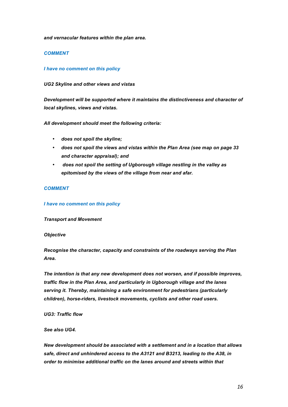*and vernacular features within the plan area.*

#### *COMMENT*

#### *I have no comment on this policy*

#### *UG2 Skyline and other views and vistas*

*Development will be supported where it maintains the distinctiveness and character of local skylines, views and vistas.*

#### *All development should meet the following criteria:*

- *does not spoil the skyline;*
- *does not spoil the views and vistas within the Plan Area (see map on page 33 and character appraisal); and*
- *does not spoil the setting of Ugborough village nestling in the valley as epitomised by the views of the village from near and afar.*

#### *COMMENT*

#### *I have no comment on this policy*

*Transport and Movement*

#### *Objective*

*Recognise the character, capacity and constraints of the roadways serving the Plan Area.*

*The intention is that any new development does not worsen, and if possible improves, traffic flow in the Plan Area, and particularly in Ugborough village and the lanes serving it. Thereby, maintaining a safe environment for pedestrians (particularly children), horse-riders, livestock movements, cyclists and other road users.*

*UG3: Traffic flow*

#### *See also UG4.*

*New development should be associated with a settlement and in a location that allows safe, direct and unhindered access to the A3121 and B3213, leading to the A38, in order to minimise additional traffic on the lanes around and streets within that*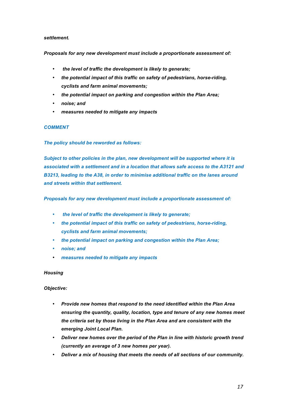#### *settlement.*

#### *Proposals for any new development must include a proportionate assessment of:*

- *the level of traffic the development is likely to generate;*
- *the potential impact of this traffic on safety of pedestrians, horse-riding, cyclists and farm animal movements;*
- *the potential impact on parking and congestion within the Plan Area;*
- *noise; and*
- *measures needed to mitigate any impacts*

#### *COMMENT*

#### *The policy should be reworded as follows:*

*Subject to other policies in the plan, new development will be supported where it is associated with a settlement and in a location that allows safe access to the A3121 and B3213, leading to the A38, in order to minimise additional traffic on the lanes around and streets within that settlement.*

*Proposals for any new development must include a proportionate assessment of:*

- *the level of traffic the development is likely to generate;*
- *the potential impact of this traffic on safety of pedestrians, horse-riding, cyclists and farm animal movements;*
- *the potential impact on parking and congestion within the Plan Area;*
- *noise; and*
- *measures needed to mitigate any impacts*

#### *Housing*

#### *Objective:*

- *Provide new homes that respond to the need identified within the Plan Area ensuring the quantity, quality, location, type and tenure of any new homes meet the criteria set by those living in the Plan Area and are consistent with the emerging Joint Local Plan.*
- *Deliver new homes over the period of the Plan in line with historic growth trend (currently an average of 3 new homes per year).*
- *Deliver a mix of housing that meets the needs of all sections of our community.*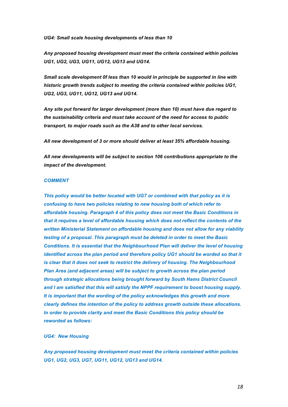*UG4: Small scale housing developments of less than 10*

*Any proposed housing development must meet the criteria contained within policies UG1, UG2, UG3, UG11, UG12, UG13 and UG14.*

*Small scale development 0f less than 10 would in principle be supported in line with historic growth trends subject to meeting the criteria contained within policies UG1, UG2, UG3, UG11, UG12, UG13 and UG14.*

*Any site put forward for larger development (more than 10) must have due regard to the sustainability criteria and must take account of the need for access to public transport, to major roads such as the A38 and to other local services.*

*All new development of 3 or more should deliver at least 35% affordable housing.*

*All new developments will be subject to section 106 contributions appropriate to the impact of the development.*

#### *COMMENT*

*This policy would be better located with UG7 or combined with that policy as it is confusing to have two policies relating to new housing both of which refer to affordable housing. Paragraph 4 of this policy does not meet the Basic Conditions in that it requires a level of affordable housing which does not reflect the contents of the written Ministerial Statement on affordable housing and does not allow for any viability testing of a proposal. This paragraph must be deleted in order to meet the Basic Conditions. It is essential that the Neighbourhood Plan will deliver the level of housing identified across the plan period and therefore policy UG1 should be worded so that it is clear that it does not seek to restrict the delivery of housing. The Neighbourhood Plan Area (and adjacent areas) will be subject to growth across the plan period through strategic allocations being brought forward by South Hams District Council and I am satisfied that this will satisfy the NPPF requirement to boost housing supply. It is important that the wording of the policy acknowledges this growth and more clearly defines the intention of the policy to address growth outside these allocations. In order to provide clarity and meet the Basic Conditions this policy should be reworded as follows:* 

#### *UG4: New Housing*

*Any proposed housing development must meet the criteria contained within policies UG1, UG2, UG3, UG7, UG11, UG12, UG13 and UG14.*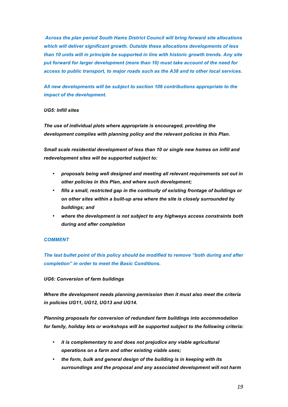*Across the plan period South Hams District Council will bring forward site allocations which will deliver significant growth. Outside these allocations developments of less than 10 units will in principle be supported in line with historic growth trends. Any site put forward for larger development (more than 10) must take account of the need for access to public transport, to major roads such as the A38 and to other local services.*

*All new developments will be subject to section 106 contributions appropriate to the impact of the development.*

#### *UG5: Infill sites*

*The use of individual plots where appropriate is encouraged, providing the development complies with planning policy and the relevant policies in this Plan.*

*Small scale residential development of less than 10 or single new homes on infill and redevelopment sites will be supported subject to:*

- *proposals being well designed and meeting all relevant requirements set out in other policies in this Plan, and where such development;*
- *fills a small, restricted gap in the continuity of existing frontage of buildings or on other sites within a built-up area where the site is closely surrounded by buildings; and*
- *where the development is not subject to any highways access constraints both during and after completion*

#### *COMMENT*

*The last bullet point of this policy should be modified to remove "both during and after completion" in order to meet the Basic Conditions.*

#### *UG6: Conversion of farm buildings*

*Where the development needs planning permission then it must also meet the criteria in policies UG11, UG12, UG13 and UG14.*

*Planning proposals for conversion of redundant farm buildings into accommodation for family, holiday lets or workshops will be supported subject to the following criteria:*

- *it is complementary to and does not prejudice any viable agricultural operations on a farm and other existing viable uses;*
- *the form, bulk and general design of the building is in keeping with its surroundings and the proposal and any associated development will not harm*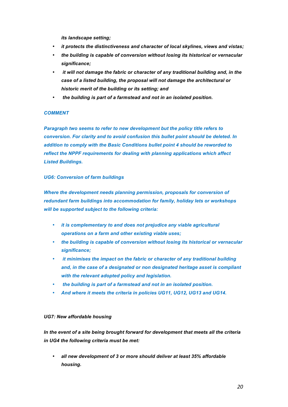*its landscape setting;*

- *it protects the distinctiveness and character of local skylines, views and vistas;*
- *the building is capable of conversion without losing its historical or vernacular significance;*
- *it will not damage the fabric or character of any traditional building and, in the case of a listed building, the proposal will not damage the architectural or historic merit of the building or its setting; and*
- *the building is part of a farmstead and not in an isolated position.*

#### *COMMENT*

*Paragraph two seems to refer to new development but the policy title refers to conversion. For clarity and to avoid confusion this bullet point should be deleted. In addition to comply with the Basic Conditions bullet point 4 should be reworded to reflect the NPPF requirements for dealing with planning applications which affect Listed Buildings.*

# *UG6: Conversion of farm buildings*

Where the development needs planning permission, proposals for conversion of *redundant farm buildings into accommodation for family, holiday lets or workshops will be supported subject to the following criteria:*

- *it is complementary to and does not prejudice any viable agricultural operations on a farm and other existing viable uses;*
- *the building is capable of conversion without losing its historical or vernacular significance;*
- *it minimises the impact on the fabric or character of any traditional building and, in the case of a designated or non designated heritage asset is compliant with the relevant adopted policy and legislation.*
- *the building is part of a farmstead and not in an isolated position.*
- *And where it meets the criteria in policies UG11, UG12, UG13 and UG14.*

#### *UG7: New affordable housing*

*In the event of a site being brought forward for development that meets all the criteria in UG4 the following criteria must be met:*

• *all new development of 3 or more should deliver at least 35% affordable housing.*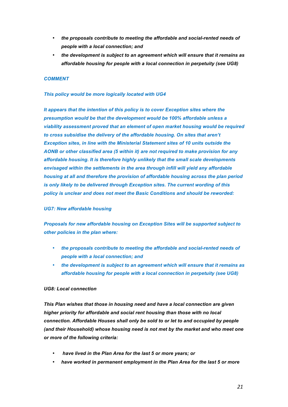- *the proposals contribute to meeting the affordable and social-rented needs of people with a local connection; and*
- *the development is subject to an agreement which will ensure that it remains as affordable housing for people with a local connection in perpetuity (see UG8)*

#### *COMMENT*

#### *This policy would be more logically located with UG4*

*It appears that the intention of this policy is to cover Exception sites where the presumption would be that the development would be 100% affordable unless a viability assessment proved that an element of open market housing would be required to cross subsidise the delivery of the affordable housing. On sites that aren't Exception sites, in line with the Ministerial Statement sites of 10 units outside the AONB or other classified area (5 within it) are not required to make provision for any affordable housing. It is therefore highly unlikely that the small scale developments envisaged within the settlements in the area through infill will yield any affordable housing at all and therefore the provision of affordable housing across the plan period is only likely to be delivered through Exception sites. The current wording of this policy is unclear and does not meet the Basic Conditions and should be reworded:*

#### *UG7: New affordable housing*

*Proposals for new affordable housing on Exception Sites will be supported subject to other policies in the plan where:*

- *the proposals contribute to meeting the affordable and social-rented needs of people with a local connection; and*
- *the development is subject to an agreement which will ensure that it remains as affordable housing for people with a local connection in perpetuity (see UG8)*

#### *UG8: Local connection*

*This Plan wishes that those in housing need and have a local connection are given higher priority for affordable and social rent housing than those with no local connection. Affordable Houses shall only be sold to or let to and occupied by people (and their Household) whose housing need is not met by the market and who meet one or more of the following criteria:*

- *have lived in the Plan Area for the last 5 or more years; or*
- *have worked in permanent employment in the Plan Area for the last 5 or more*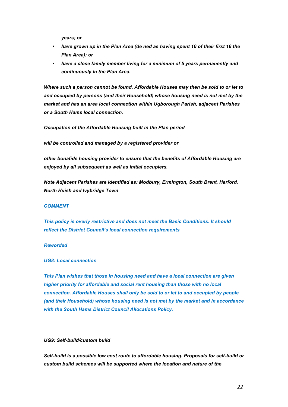*years; or*

- *have grown up in the Plan Area (de ned as having spent 10 of their first 16 the Plan Area); or*
- *have a close family member living for a minimum of 5 years permanently and continuously in the Plan Area.*

*Where such a person cannot be found, Affordable Houses may then be sold to or let to and occupied by persons (and their Household) whose housing need is not met by the market and has an area local connection within Ugborough Parish, adjacent Parishes or a South Hams local connection.*

*Occupation of the Affordable Housing built in the Plan period*

*will be controlled and managed by a registered provider or*

*other bonafide housing provider to ensure that the benefits of Affordable Housing are enjoyed by all subsequent as well as initial occupiers.*

*Note Adjacent Parishes are identified as: Modbury, Ermington, South Brent, Harford, North Huish and Ivybridge Town*

#### *COMMENT*

*This policy is overly restrictive and does not meet the Basic Conditions. It should reflect the District Council's local connection requirements*

#### *Reworded*

*UG8: Local connection*

*This Plan wishes that those in housing need and have a local connection are given higher priority for affordable and social rent housing than those with no local connection. Affordable Houses shall only be sold to or let to and occupied by people (and their Household) whose housing need is not met by the market and in accordance with the South Hams District Council Allocations Policy.*

#### *UG9: Self-build/custom build*

*Self-build is a possible low cost route to affordable housing. Proposals for self-build or custom build schemes will be supported where the location and nature of the*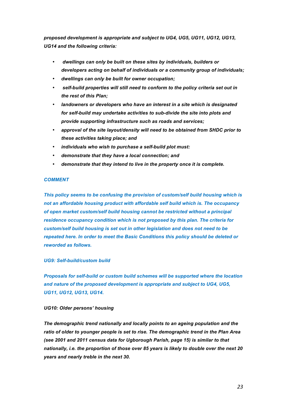*proposed development is appropriate and subject to UG4, UG5, UG11, UG12, UG13, UG14 and the following criteria:*

- *dwellings can only be built on these sites by individuals, builders or developers acting on behalf of individuals or a community group of individuals;*
- *dwellings can only be built for owner occupation;*
- *self-build properties will still need to conform to the policy criteria set out in the rest of this Plan;*
- *landowners or developers who have an interest in a site which is designated for self-build may undertake activities to sub-divide the site into plots and provide supporting infrastructure such as roads and services;*
- *approval of the site layout/density will need to be obtained from SHDC prior to these activities taking place; and*
- *individuals who wish to purchase a self-build plot must:*
- *demonstrate that they have a local connection; and*
- *demonstrate that they intend to live in the property once it is complete.*

#### *COMMENT*

*This policy seems to be confusing the provision of custom/self build housing which is not an affordable housing product with affordable self build which is. The occupancy of open market custom/self build housing cannot be restricted without a principal residence occupancy condition which is not proposed by this plan. The criteria for custom/self build housing is set out in other legislation and does not need to be repeated here. In order to meet the Basic Conditions this policy should be deleted or reworded as follows.*

#### *UG9: Self-build/custom build*

*Proposals for self-build or custom build schemes will be supported where the location and nature of the proposed development is appropriate and subject to UG4, UG5, UG11, UG12, UG13, UG14.*

#### *UG10: Older persons' housing*

*The demographic trend nationally and locally points to an ageing population and the ratio of older to younger people is set to rise. The demographic trend in the Plan Area (see 2001 and 2011 census data for Ugborough Parish, page 15) is similar to that nationally, i.e. the proportion of those over 85 years is likely to double over the next 20 years and nearly treble in the next 30.*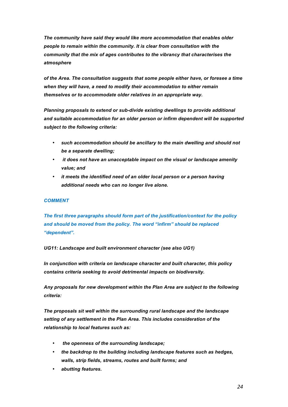*The community have said they would like more accommodation that enables older people to remain within the community. It is clear from consultation with the community that the mix of ages contributes to the vibrancy that characterises the atmosphere*

*of the Area. The consultation suggests that some people either have, or foresee a time when they will have, a need to modify their accommodation to either remain themselves or to accommodate older relatives in an appropriate way.*

*Planning proposals to extend or sub-divide existing dwellings to provide additional and suitable accommodation for an older person or infirm dependent will be supported subject to the following criteria:*

- *such accommodation should be ancillary to the main dwelling and should not be a separate dwelling;*
- *it does not have an unacceptable impact on the visual or landscape amenity value; and*
- *it meets the identified need of an older local person or a person having additional needs who can no longer live alone.*

# *COMMENT*

*The first three paragraphs should form part of the justification/context for the policy and should be moved from the policy. The word "infirm" should be replaced "dependent".*

*UG11: Landscape and built environment character (see also UG1)*

*In conjunction with criteria on landscape character and built character, this policy contains criteria seeking to avoid detrimental impacts on biodiversity.*

*Any proposals for new development within the Plan Area are subject to the following criteria:*

*The proposals sit well within the surrounding rural landscape and the landscape setting of any settlement in the Plan Area. This includes consideration of the relationship to local features such as:*

- *the openness of the surrounding landscape;*
- *the backdrop to the building including landscape features such as hedges, walls, strip fields, streams, routes and built forms; and*
- *abutting features.*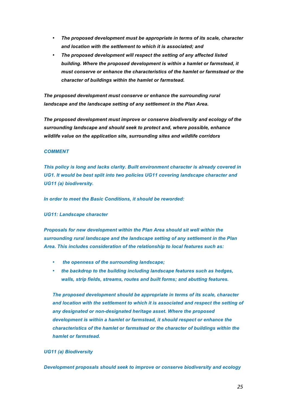- *The proposed development must be appropriate in terms of its scale, character and location with the settlement to which it is associated; and*
- *The proposed development will respect the setting of any affected listed building. Where the proposed development is within a hamlet or farmstead, it must conserve or enhance the characteristics of the hamlet or farmstead or the character of buildings within the hamlet or farmstead.*

*The proposed development must conserve or enhance the surrounding rural landscape and the landscape setting of any settlement in the Plan Area.*

*The proposed development must improve or conserve biodiversity and ecology of the surrounding landscape and should seek to protect and, where possible, enhance wildlife value on the application site, surrounding sites and wildlife corridors*

#### *COMMENT*

*This policy is long and lacks clarity. Built environment character is already covered in*  UG1. It would be best split into two policies UG11 covering landscape character and *UG11 (a) biodiversity.*

*In order to meet the Basic Conditions, it should be reworded:*

#### *UG11: Landscape character*

*Proposals for new development within the Plan Area should sit well within the surrounding rural landscape and the landscape setting of any settlement in the Plan Area. This includes consideration of the relationship to local features such as:*

- *the openness of the surrounding landscape;*
- *the backdrop to the building including landscape features such as hedges, walls, strip fields, streams, routes and built forms; and abutting features.*

*The proposed development should be appropriate in terms of its scale, character and location with the settlement to which it is associated and respect the setting of any designated or non-designated heritage asset. Where the proposed development is within a hamlet or farmstead, it should respect or enhance the characteristics of the hamlet or farmstead or the character of buildings within the hamlet or farmstead.*

#### *UG11 (a) Biodiversity*

*Development proposals should seek to improve or conserve biodiversity and ecology*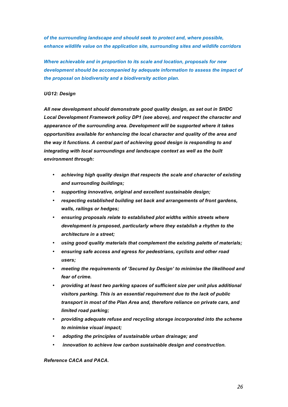*of the surrounding landscape and should seek to protect and, where possible, enhance wildlife value on the application site, surrounding sites and wildlife corridors*

*Where achievable and in proportion to its scale and location, proposals for new development should be accompanied by adequate information to assess the impact of the proposal on biodiversity and a biodiversity action plan.* 

#### *UG12: Design*

*All new development should demonstrate good quality design, as set out in SHDC Local Development Framework policy DP1 (see above), and respect the character and appearance of the surrounding area. Development will be supported where it takes opportunities available for enhancing the local character and quality of the area and the way it functions. A central part of achieving good design is responding to and integrating with local surroundings and landscape context as well as the built environment through:*

- *achieving high quality design that respects the scale and character of existing and surrounding buildings;*
- *supporting innovative, original and excellent sustainable design;*
- *respecting established building set back and arrangements of front gardens, walls, railings or hedges;*
- *ensuring proposals relate to established plot widths within streets where development is proposed, particularly where they establish a rhythm to the architecture in a street;*
- *using good quality materials that complement the existing palette of materials;*
- *ensuring safe access and egress for pedestrians, cyclists and other road users;*
- *meeting the requirements of 'Secured by Design' to minimise the likelihood and fear of crime.*
- *providing at least two parking spaces of sufficient size per unit plus additional visitors parking. This is an essential requirement due to the lack of public transport in most of the Plan Area and, therefore reliance on private cars, and limited road parking;*
- *providing adequate refuse and recycling storage incorporated into the scheme to minimise visual impact;*
- *adopting the principles of sustainable urban drainage; and*
- *innovation to achieve low carbon sustainable design and construction.*

#### *Reference CACA and PACA.*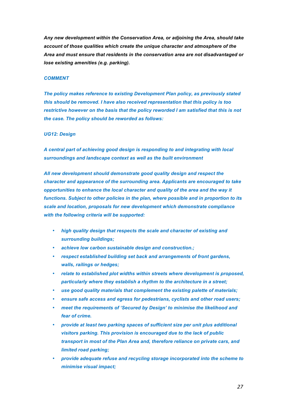*Any new development within the Conservation Area, or adjoining the Area, should take account of those qualities which create the unique character and atmosphere of the Area and must ensure that residents in the conservation area are not disadvantaged or lose existing amenities (e.g. parking).*

#### *COMMENT*

*The policy makes reference to existing Development Plan policy, as previously stated this should be removed. I have also received representation that this policy is too restrictive however on the basis that the policy reworded I am satisfied that this is not the case. The policy should be reworded as follows:*

#### *UG12: Design*

*A central part of achieving good design is responding to and integrating with local surroundings and landscape context as well as the built environment*

*All new development should demonstrate good quality design and respect the character and appearance of the surrounding area. Applicants are encouraged to take opportunities to enhance the local character and quality of the area and the way it functions. Subject to other policies in the plan, where possible and in proportion to its scale and location, proposals for new development which demonstrate compliance with the following criteria will be supported:*

- *high quality design that respects the scale and character of existing and surrounding buildings;*
- *achieve low carbon sustainable design and construction.;*
- *respect established building set back and arrangements of front gardens, walls, railings or hedges;*
- *relate to established plot widths within streets where development is proposed, particularly where they establish a rhythm to the architecture in a street;*
- *use good quality materials that complement the existing palette of materials;*
- *ensure safe access and egress for pedestrians, cyclists and other road users;*
- *meet the requirements of 'Secured by Design' to minimise the likelihood and fear of crime.*
- *provide at least two parking spaces of sufficient size per unit plus additional visitors parking. This provision is encouraged due to the lack of public transport in most of the Plan Area and, therefore reliance on private cars, and limited road parking;*
- *provide adequate refuse and recycling storage incorporated into the scheme to minimise visual impact;*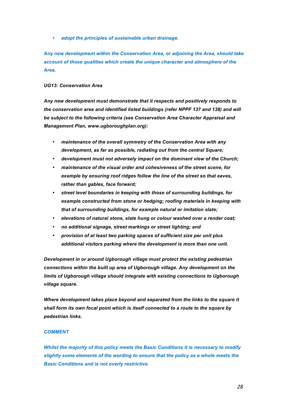• *adopt the principles of sustainable urban drainage.*

*Any new development within the Conservation Area, or adjoining the Area, should take account of those qualities which create the unique character and atmosphere of the Area.*

#### *UG13: Conservation Area*

*Any new development must demonstrate that it respects and positively responds to the conservation area and identified listed buildings (refer NPPF 137 and 138) and will be subject to the following criteria (see Conservation Area Character Appraisal and Management Plan, www.ugboroughplan.org):*

- *maintenance of the overall symmetry of the Conservation Area with any development, as far as possible, radiating out from the central Square;*
- *development must not adversely impact on the dominant view of the Church;*
- *maintenance of the visual order and cohesiveness of the street scene, for example by ensuring roof ridges follow the line of the street so that eaves, rather than gables, face forward;*
- *street level boundaries in keeping with those of surrounding buildings, for example constructed from stone or hedging; roofing materials in keeping with that of surrounding buildings, for example natural or imitation slate;*
- *elevations of natural stone, slate hung or colour washed over a render coat;*
- *no additional signage, street markings or street lighting; and*
- *provision of at least two parking spaces of sufficient size per unit plus additional visitors parking where the development is more than one unit.*

*Development in or around Ugborough village must protect the existing pedestrian connections within the built up area of Ugborough village. Any development on the limits of Ugborough village should integrate with existing connections to Ugborough village square.*

*Where development takes place beyond and separated from the links to the square it shall form its own focal point which is itself connected to a route to the square by pedestrian links.*

#### *COMMENT*

*Whilst the majority of this policy meets the Basic Conditions it is necessary to modify slightly some elements of the wording to ensure that the policy as a whole meets the Basic Conditions and is not overly restrictive.*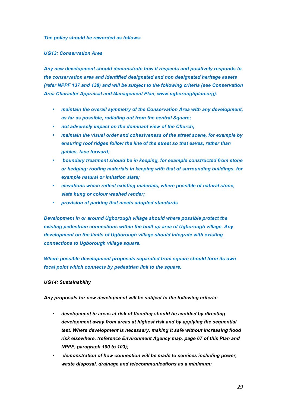*The policy should be reworded as follows:*

*UG13: Conservation Area*

*Any new development should demonstrate how it respects and positively responds to the conservation area and identified designated and non designated heritage assets (refer NPPF 137 and 138) and will be subject to the following criteria (see Conservation Area Character Appraisal and Management Plan, www.ugboroughplan.org):*

- *maintain the overall symmetry of the Conservation Area with any development, as far as possible, radiating out from the central Square;*
- *not adversely impact on the dominant view of the Church;*
- *maintain the visual order and cohesiveness of the street scene, for example by ensuring roof ridges follow the line of the street so that eaves, rather than gables, face forward;*
- *boundary treatment should be in keeping, for example constructed from stone or hedging; roofing materials in keeping with that of surrounding buildings, for example natural or imitation slate;*
- *elevations which reflect existing materials, where possible of natural stone, slate hung or colour washed render;*
- *provision of parking that meets adopted standards*

*Development in or around Ugborough village should where possible protect the existing pedestrian connections within the built up area of Ugborough village. Any development on the limits of Ugborough village should integrate with existing connections to Ugborough village square.*

*Where possible development proposals separated from square should form its own focal point which connects by pedestrian link to the square.*

#### *UG14: Sustainability*

*Any proposals for new development will be subject to the following criteria:*

- *development in areas at risk of flooding should be avoided by directing development away from areas at highest risk and by applying the sequential test. Where development is necessary, making it safe without increasing flood risk elsewhere. (reference Environment Agency map, page 67 of this Plan and NPPF, paragraph 100 to 103);*
- *demonstration of how connection will be made to services including power, waste disposal, drainage and telecommunications as a minimum;*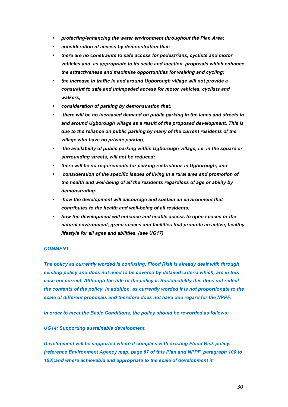- *protecting/enhancing the water environment throughout the Plan Area;*
- *consideration of access by demonstration that:*
- *there are no constraints to safe access for pedestrians, cyclists and motor vehicles and, as appropriate to its scale and location, proposals which enhance the attractiveness and maximise opportunities for walking and cycling;*
- *the increase in traffic in and around Ugborough village will not provide a constraint to safe and unimpeded access for motor vehicles, cyclists and walkers;*
- *consideration of parking by demonstration that:*
- *there will be no increased demand on public parking in the lanes and streets in and around Ugborough village as a result of the proposed development. This is due to the reliance on public parking by many of the current residents of the village who have no private parking;*
- *the availability of public parking within Ugborough village, i.e. in the square or surrounding streets, will not be reduced;*
- *there will be no requirements for parking restrictions in Ugborough; and*
- *consideration of the specific issues of living in a rural area and promotion of the health and well-being of all the residents regardless of age or ability by demonstrating:*
- *how the development will encourage and sustain an environment that contributes to the health and well-being of all residents;*
- *how the development will enhance and enable access to open spaces or the natural environment, green spaces and facilities that promote an active, healthy lifestyle for all ages and abilities. (see UG17)*

#### *COMMENT*

*The policy as currently worded is confusing, Flood Risk is already dealt with through existing policy and does not need to be covered by detailed criteria which, are in this case not correct. Although the title of the policy is Sustainability this does not reflect the contents of the policy. In addition, as currently worded it is not proportionate to the scale of different proposals and therefore does not have due regard for the NPPF.*

*In order to meet the Basic Conditions, the policy should be reworded as follows:*

#### *UG14: Supporting sustainable development.*

*Development will be supported where it complies with existing Flood Risk policy. (reference Environment Agency map, page 67 of this Plan and NPPF, paragraph 100 to 103);and where achievable and appropriate to the scale of development it:*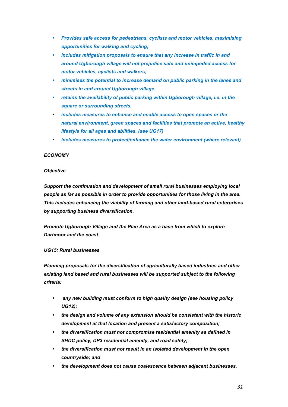- *Provides safe access for pedestrians, cyclists and motor vehicles, maximising opportunities for walking and cycling;*
- *includes mitigation proposals to ensure that any increase in traffic in and around Ugborough village will not prejudice safe and unimpeded access for motor vehicles, cyclists and walkers;*
- *minimises the potential to increase demand on public parking in the lanes and streets in and around Ugborough village.*
- *retains the availability of public parking within Ugborough village, i.e. in the square or surrounding streets.*
- *includes measures to enhance and enable access to open spaces or the natural environment, green spaces and facilities that promote an active, healthy lifestyle for all ages and abilities. (see UG17)*
- *includes measures to protect/enhance the water environment (where relevant)*

# *ECONOMY*

#### *Objective*

*Support the continuation and development of small rural businesses employing local people as far as possible in order to provide opportunities for those living in the area. This includes enhancing the viability of farming and other land-based rural enterprises by supporting business diversification.*

*Promote Ugborough Village and the Plan Area as a base from which to explore Dartmoor and the coast.*

#### *UG15: Rural businesses*

*Planning proposals for the diversification of agriculturally based industries and other existing land based and rural businesses will be supported subject to the following criteria:*

- *any new building must conform to high quality design (see housing policy UG12);*
- *the design and volume of any extension should be consistent with the historic development at that location and present a satisfactory composition;*
- *the diversification must not compromise residential amenity as defined in SHDC policy, DP3 residential amenity, and road safety;*
- *the diversification must not result in an isolated development in the open countryside; and*
- *the development does not cause coalescence between adjacent businesses.*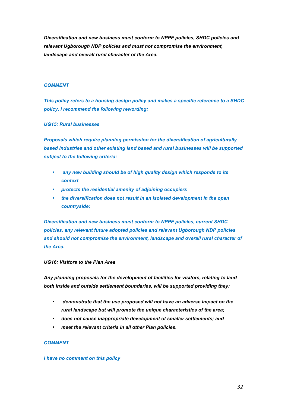*Diversification and new business must conform to NPPF policies, SHDC policies and relevant Ugborough NDP policies and must not compromise the environment, landscape and overall rural character of the Area.*

#### *COMMENT*

*This policy refers to a housing design policy and makes a specific reference to a SHDC policy. I recommend the following rewording:*

#### *UG15: Rural businesses*

*Proposals which require planning permission for the diversification of agriculturally based industries and other existing land based and rural businesses will be supported subject to the following criteria:*

- *any new building should be of high quality design which responds to its context*
- *protects the residential amenity of adjoining occupiers*
- *the diversification does not result in an isolated development in the open countryside;*

*Diversification and new business must conform to NPPF policies, current SHDC policies, any relevant future adopted policies and relevant Ugborough NDP policies and should not compromise the environment, landscape and overall rural character of the Area.*

#### *UG16: Visitors to the Plan Area*

*Any planning proposals for the development of facilities for visitors, relating to land both inside and outside settlement boundaries, will be supported providing they:*

- *demonstrate that the use proposed will not have an adverse impact on the rural landscape but will promote the unique characteristics of the area;*
- *does not cause inappropriate development of smaller settlements; and*
- *meet the relevant criteria in all other Plan policies.*

#### *COMMENT*

#### *I have no comment on this policy*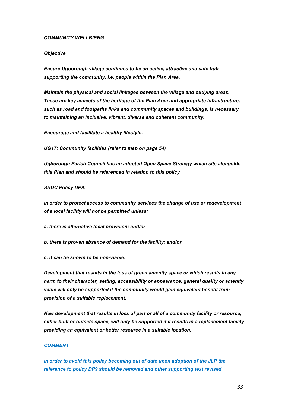#### *COMMUNITY WELLBIENG*

#### *Objective*

*Ensure Ugborough village continues to be an active, attractive and safe hub supporting the community, i.e. people within the Plan Area.*

*Maintain the physical and social linkages between the village and outlying areas. These are key aspects of the heritage of the Plan Area and appropriate infrastructure, such as road and footpaths links and community spaces and buildings, is necessary to maintaining an inclusive, vibrant, diverse and coherent community.*

*Encourage and facilitate a healthy lifestyle.*

*UG17: Community facilities (refer to map on page 54)*

*Ugborough Parish Council has an adopted Open Space Strategy which sits alongside this Plan and should be referenced in relation to this policy*

#### *SHDC Policy DP9:*

*In order to protect access to community services the change of use or redevelopment of a local facility will not be permitted unless:*

*a. there is alternative local provision; and/or*

- *b. there is proven absence of demand for the facility; and/or*
- *c. it can be shown to be non-viable.*

*Development that results in the loss of green amenity space or which results in any harm to their character, setting, accessibility or appearance, general quality or amenity value will only be supported if the community would gain equivalent benefit from provision of a suitable replacement.*

*New development that results in loss of part or all of a community facility or resource, either built or outside space, will only be supported if it results in a replacement facility providing an equivalent or better resource in a suitable location.*

#### *COMMENT*

*In order to avoid this policy becoming out of date upon adoption of the JLP the reference to policy DP9 should be removed and other supporting text revised*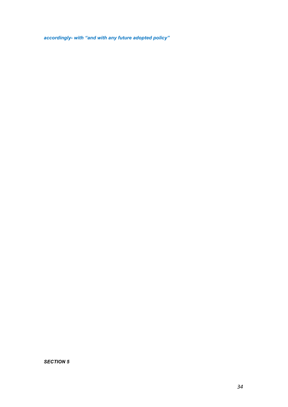*accordingly- with "and with any future adopted policy"*

*SECTION 5*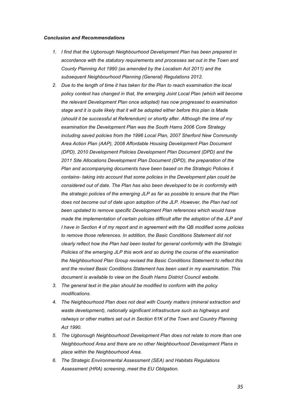#### *Conclusion and Recommendations*

- *1. I find that the Ugborough Neighbourhood Development Plan has been prepared in accordance with the statutory requirements and processes set out in the Town and County Planning Act 1990 (as amended by the Localism Act 2011) and the subsequent Neighbourhood Planning (General) Regulations 2012.*
- *2. Due to the length of time it has taken for the Plan to reach examination the local*  policy context has changed in that, the emerging Joint Local Plan (which will become *the relevant Development Plan once adopted) has now progressed to examination stage and it is quite likely that it will be adopted either before this plan is Made (should it be successful at Referendum) or shortly after. Although the time of my examination the Development Plan was the South Hams 2006 Core Strategy including saved policies from the 1996 Local Plan, 2007 Sherford New Community Area Action Plan (AAP), 2008 Affordable Housing Development Plan Document (DPD), 2010 Development Policies Development Plan Document (DPD) and the 2011 Site Allocations Development Plan Document (DPD), the preparation of the Plan and accompanying documents have been based on the Strategic Policies it contains- taking into account that some policies in the Development plan could be considered out of date. The Plan has also been developed to be in conformity with the strategic policies of the emerging JLP as far as possible to ensure that the Plan does not become out of date upon adoption of the JLP. However, the Plan had not been updated to remove specific Development Plan references which would have made the implementation of certain policies difficult after the adoption of the JLP and I have in Section 4 of my report and in agreement with the QB modified some policies to remove those references. In addition, the Basic Conditions Statement did not clearly reflect how the Plan had been tested for general conformity with the Strategic Policies of the emerging JLP this work and so during the course of the examination the Neighbourhood Plan Group revised the Basic Conditions Statement to reflect this and the revised Basic Conditions Statement has been used in my examination. This document is available to view on the South Hams District Council website.*
- *3. The general text in the plan should be modified to conform with the policy modifications.*
- *4. The Neighbourhood Plan does not deal with County matters (mineral extraction and waste development), nationally significant infrastructure such as highways and railways or other matters set out in Section 61K of the Town and Country Planning Act 1990.*
- *5. The Ugborough Neighbourhood Development Plan does not relate to more than one Neighbourhood Area and there are no other Neighbourhood Development Plans in place within the Neighbourhood Area.*
- *6. The Strategic Environmental Assessment (SEA) and Habitats Regulations Assessment (HRA) screening, meet the EU Obligation.*